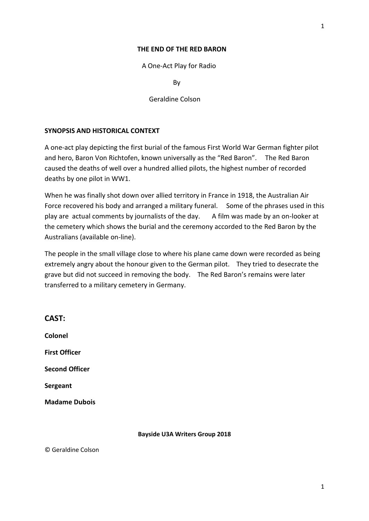#### **THE END OF THE RED BARON**

A One-Act Play for Radio

By

Geraldine Colson

### **SYNOPSIS AND HISTORICAL CONTEXT**

A one-act play depicting the first burial of the famous First World War German fighter pilot and hero, Baron Von Richtofen, known universally as the "Red Baron". The Red Baron caused the deaths of well over a hundred allied pilots, the highest number of recorded deaths by one pilot in WW1.

When he was finally shot down over allied territory in France in 1918, the Australian Air Force recovered his body and arranged a military funeral. Some of the phrases used in this play are actual comments by journalists of the day.  $A$  film was made by an on-looker at the cemetery which shows the burial and the ceremony accorded to the Red Baron by the Australians (available on-line).

The people in the small village close to where his plane came down were recorded as being extremely angry about the honour given to the German pilot. They tried to desecrate the grave but did not succeed in removing the body. The Red Baron's remains were later transferred to a military cemetery in Germany.

| CAST:                 |
|-----------------------|
| Colonel               |
| <b>First Officer</b>  |
| <b>Second Officer</b> |
| Sergeant              |
| <b>Madame Dubois</b>  |
|                       |

**CAST:**

#### **Bayside U3A Writers Group 2018**

© Geraldine Colson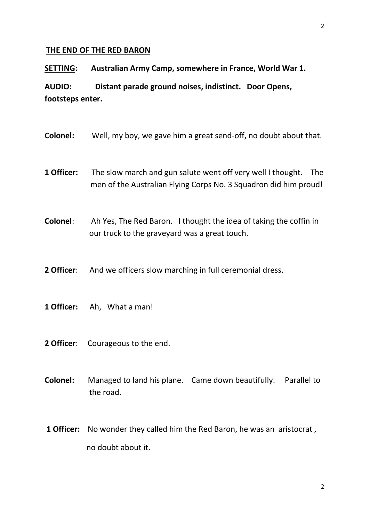### **THE END OF THE RED BARON**

**SETTING: Australian Army Camp, somewhere in France, World War 1.**

**AUDIO: Distant parade ground noises, indistinct. Door Opens, footsteps enter.**

- **Colonel:** Well, my boy, we gave him a great send-off, no doubt about that.
- **1 Officer:** The slow march and gun salute went off very well I thought. The men of the Australian Flying Corps No. 3 Squadron did him proud!
- **Colonel**: Ah Yes, The Red Baron. I thought the idea of taking the coffin in our truck to the graveyard was a great touch.

**2 Officer:** And we officers slow marching in full ceremonial dress.

- **1 Officer:** Ah, What a man!
- **2 Officer**: Courageous to the end.
- **Colonel:** Managed to land his plane. Came down beautifully. Parallel to the road.
- **1 Officer:** No wonder they called him the Red Baron, he was an aristocrat , no doubt about it.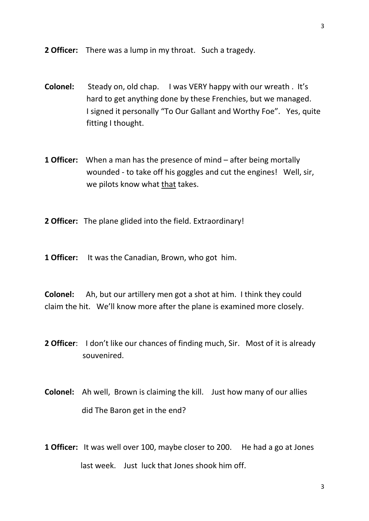**2 Officer:** There was a lump in my throat. Such a tragedy.

- **Colonel:** Steady on, old chap. I was VERY happy with our wreath . It's hard to get anything done by these Frenchies, but we managed. I signed it personally "To Our Gallant and Worthy Foe". Yes, quite fitting I thought.
- **1 Officer:** When a man has the presence of mind after being mortally wounded - to take off his goggles and cut the engines! Well, sir, we pilots know what that takes.
- **2 Officer:** The plane glided into the field. Extraordinary!
- **1 Officer:** It was the Canadian, Brown, who got him.

**Colonel:** Ah, but our artillery men got a shot at him. I think they could claim the hit. We'll know more after the plane is examined more closely.

- **2 Officer**: I don't like our chances of finding much, Sir. Most of it is already souvenired.
- **Colonel:** Ah well, Brown is claiming the kill. Just how many of our allies did The Baron get in the end?
- **1 Officer:** It was well over 100, maybe closer to 200. He had a go at Jones last week. Just luck that Jones shook him off.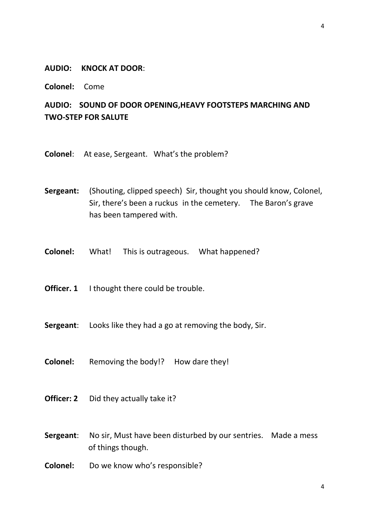### **AUDIO: KNOCK AT DOOR**:

**Colonel:** Come

# **AUDIO: SOUND OF DOOR OPENING,HEAVY FOOTSTEPS MARCHING AND TWO-STEP FOR SALUTE**

**Colonel**: At ease, Sergeant. What's the problem?

**Sergeant:** (Shouting, clipped speech) Sir, thought you should know, Colonel, Sir, there's been a ruckus in the cemetery. The Baron's grave has been tampered with.

**Colonel:** What! This is outrageous. What happened?

**Officer. 1** I thought there could be trouble.

**Sergeant**: Looks like they had a go at removing the body, Sir.

**Colonel:** Removing the body!? How dare they!

**Officer: 2** Did they actually take it?

- **Sergeant:** No sir, Must have been disturbed by our sentries. Made a mess of things though.
- **Colonel:** Do we know who's responsible?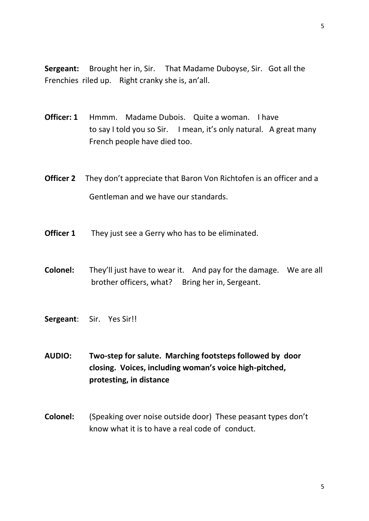**Sergeant:** Brought her in, Sir. That Madame Duboyse, Sir. Got all the Frenchies riled up. Right cranky she is, an'all.

- **Officer: 1** Hmmm. Madame Dubois. Quite a woman. I have to say I told you so Sir. I mean, it's only natural. A great many French people have died too.
- **Officer 2** They don't appreciate that Baron Von Richtofen is an officer and a Gentleman and we have our standards.
- **Officer 1** They just see a Gerry who has to be eliminated.
- **Colonel:** They'll just have to wear it. And pay for the damage. We are all brother officers, what? Bring her in, Sergeant.
- **Sergeant**: Sir. Yes Sir!!
- **AUDIO: Two-step for salute. Marching footsteps followed by door closing. Voices, including woman's voice high-pitched, protesting, in distance**
- **Colonel:** (Speaking over noise outside door) These peasant types don't know what it is to have a real code of conduct.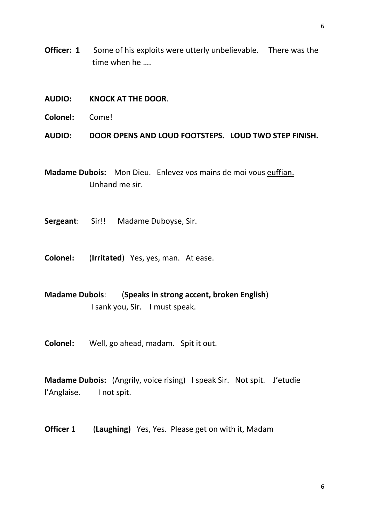- **AUDIO: KNOCK AT THE DOOR**.
- **Colonel:** Come!

**AUDIO: DOOR OPENS AND LOUD FOOTSTEPS. LOUD TWO STEP FINISH.**

**Madame Dubois:** Mon Dieu. Enlevez vos mains de moi vous euffian. Unhand me sir.

**Sergeant**: Sir!! Madame Duboyse, Sir.

**Colonel:** (**Irritated**) Yes, yes, man. At ease.

**Madame Dubois**: (**Speaks in strong accent, broken English**) I sank you, Sir. I must speak.

**Colonel:** Well, go ahead, madam. Spit it out.

**Madame Dubois:** (Angrily, voice rising) I speak Sir. Not spit. J'etudie l'Anglaise. I not spit.

**Officer** 1 (**Laughing)** Yes, Yes. Please get on with it, Madam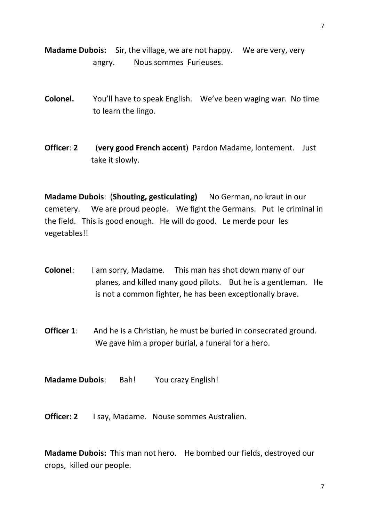**Madame Dubois:** Sir, the village, we are not happy. We are very, very angry. Nous sommes Furieuses.

- **Colonel.** You'll have to speak English. We've been waging war. No time to learn the lingo.
- **Officer**: **2** (**very good French accent**) Pardon Madame, lontement. Just take it slowly.

**Madame Dubois**: (**Shouting, gesticulating)** No German, no kraut in our cemetery. We are proud people. We fight the Germans. Put le criminal in the field. This is good enough. He will do good. Le merde pour les vegetables!!

- **Colonel:** I am sorry, Madame. This man has shot down many of our planes, and killed many good pilots. But he is a gentleman. He is not a common fighter, he has been exceptionally brave.
- **Officer 1:** And he is a Christian, he must be buried in consecrated ground. We gave him a proper burial, a funeral for a hero.

**Madame Dubois**: Bah! You crazy English!

**Officer: 2** I say, Madame. Nouse sommes Australien.

**Madame Dubois:** This man not hero. He bombed our fields, destroyed our crops, killed our people.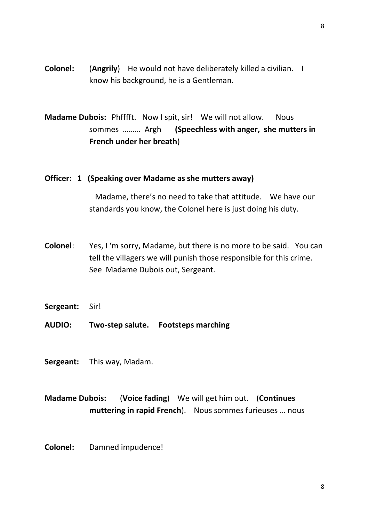**Colonel:** (**Angrily**) He would not have deliberately killed a civilian. I know his background, he is a Gentleman.

**Madame Dubois:** Phfffft. Now I spit, sir! We will not allow. Nous sommes ……… Argh **(Speechless with anger, she mutters in French under her breath**)

### **Officer: 1 (Speaking over Madame as she mutters away)**

Madame, there's no need to take that attitude. We have our standards you know, the Colonel here is just doing his duty.

- **Colonel**: Yes, I 'm sorry, Madame, but there is no more to be said. You can tell the villagers we will punish those responsible for this crime. See Madame Dubois out, Sergeant.
- **Sergeant:** Sir!
- **AUDIO: Two-step salute. Footsteps marching**
- **Sergeant:** This way, Madam.

# **Madame Dubois:** (**Voice fading**) We will get him out. (**Continues muttering in rapid French**). Nous sommes furieuses … nous

**Colonel:** Damned impudence!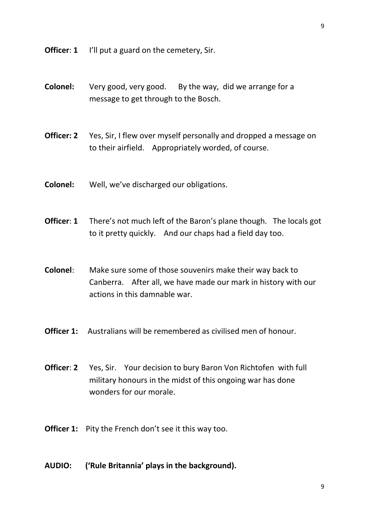**Officer: 1** I'll put a guard on the cemetery, Sir.

- **Colonel:** Very good, very good. By the way, did we arrange for a message to get through to the Bosch.
- **Officer: 2** Yes, Sir, I flew over myself personally and dropped a message on to their airfield. Appropriately worded, of course.
- **Colonel:** Well, we've discharged our obligations.
- **Officer: 1** There's not much left of the Baron's plane though. The locals got to it pretty quickly. And our chaps had a field day too.
- **Colonel**: Make sure some of those souvenirs make their way back to Canberra. After all, we have made our mark in history with our actions in this damnable war.
- **Officer 1:** Australians will be remembered as civilised men of honour.
- **Officer: 2** Yes, Sir. Your decision to bury Baron Von Richtofen with full military honours in the midst of this ongoing war has done wonders for our morale.
- **Officer 1:** Pity the French don't see it this way too.
- **AUDIO: ('Rule Britannia' plays in the background).**